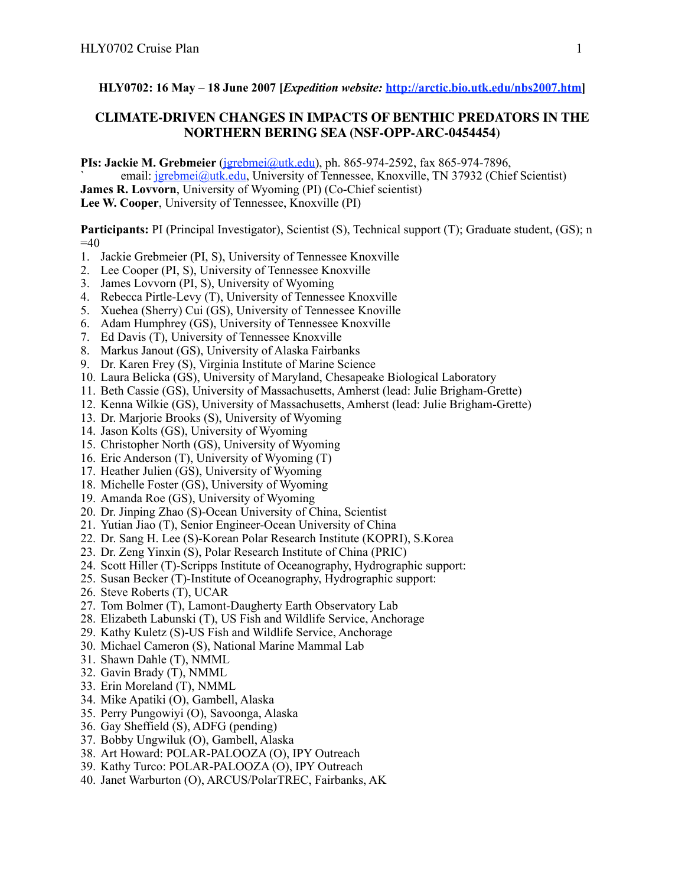# **HLY0702: 16 May – 18 June 2007 [***Expedition website:* **<http://arctic.bio.utk.edu/nbs2007.htm>]**

# **CLIMATE-DRIVEN CHANGES IN IMPACTS OF BENTHIC PREDATORS IN THE NORTHERN BERING SEA (NSF-OPP-ARC-0454454)**

**PIs: Jackie M. Grebmeier** ([jgrebmei@utk.edu\)](mailto:jgrebmei@utk.edu), ph. 865-974-2592, fax 865-974-7896,

email: [jgrebmei@utk.edu](mailto:jgrebmei@utk.edu), University of Tennessee, Knoxville, TN 37932 (Chief Scientist)

**James R. Lovvorn**, University of Wyoming (PI) (Co-Chief scientist)

**Lee W. Cooper**, University of Tennessee, Knoxville (PI)

**Participants:** PI (Principal Investigator), Scientist (S), Technical support (T); Graduate student, (GS); n  $=40$ 

- 1. Jackie Grebmeier (PI, S), University of Tennessee Knoxville
- 2. Lee Cooper (PI, S), University of Tennessee Knoxville
- 3. James Lovvorn (PI, S), University of Wyoming
- 4. Rebecca Pirtle-Levy (T), University of Tennessee Knoxville
- 5. Xuehea (Sherry) Cui (GS), University of Tennessee Knoville
- 6. Adam Humphrey (GS), University of Tennessee Knoxville
- 7. Ed Davis (T), University of Tennessee Knoxville
- 8. Markus Janout (GS), University of Alaska Fairbanks
- 9. Dr. Karen Frey (S), Virginia Institute of Marine Science
- 10. Laura Belicka (GS), University of Maryland, Chesapeake Biological Laboratory
- 11. Beth Cassie (GS), University of Massachusetts, Amherst (lead: Julie Brigham-Grette)
- 12. Kenna Wilkie (GS), University of Massachusetts, Amherst (lead: Julie Brigham-Grette)
- 13. Dr. Marjorie Brooks (S), University of Wyoming
- 14. Jason Kolts (GS), University of Wyoming
- 15. Christopher North (GS), University of Wyoming
- 16. Eric Anderson (T), University of Wyoming (T)
- 17. Heather Julien (GS), University of Wyoming
- 18. Michelle Foster (GS), University of Wyoming
- 19. Amanda Roe (GS), University of Wyoming
- 20. Dr. Jinping Zhao (S)-Ocean University of China, Scientist
- 21. Yutian Jiao (T), Senior Engineer-Ocean University of China
- 22. Dr. Sang H. Lee (S)-Korean Polar Research Institute (KOPRI), S.Korea
- 23. Dr. Zeng Yinxin (S), Polar Research Institute of China (PRIC)
- 24. Scott Hiller (T)-Scripps Institute of Oceanography, Hydrographic support:
- 25. Susan Becker (T)-Institute of Oceanography, Hydrographic support:
- 26. Steve Roberts (T), UCAR
- 27. Tom Bolmer (T), Lamont-Daugherty Earth Observatory Lab
- 28. Elizabeth Labunski (T), US Fish and Wildlife Service, Anchorage
- 29. Kathy Kuletz (S)-US Fish and Wildlife Service, Anchorage
- 30. Michael Cameron (S), National Marine Mammal Lab
- 31. Shawn Dahle (T), NMML
- 32. Gavin Brady (T), NMML
- 33. Erin Moreland (T), NMML
- 34. Mike Apatiki (O), Gambell, Alaska
- 35. Perry Pungowiyi (O), Savoonga, Alaska
- 36. Gay Sheffield (S), ADFG (pending)
- 37. Bobby Ungwiluk (O), Gambell, Alaska
- 38. Art Howard: POLAR-PALOOZA (O), IPY Outreach
- 39. Kathy Turco: POLAR-PALOOZA (O), IPY Outreach
- 40. Janet Warburton (O), ARCUS/PolarTREC, Fairbanks, AK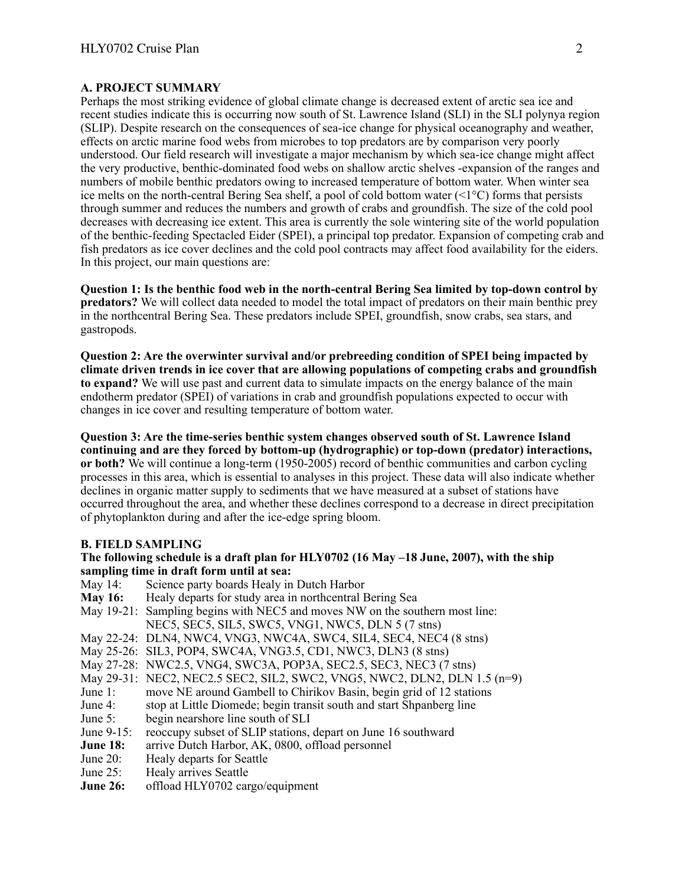#### **A. PROJECT SUMMARY**

Perhaps the most striking evidence of global climate change is decreased extent of arctic sea ice and recent studies indicate this is occurring now south of St. Lawrence Island (SLI) in the SLI polynya region (SLIP). Despite research on the consequences of sea-ice change for physical oceanography and weather, effects on arctic marine food webs from microbes to top predators are by comparison very poorly understood. Our field research will investigate a major mechanism by which sea-ice change might affect the very productive, benthic-dominated food webs on shallow arctic shelves -expansion of the ranges and numbers of mobile benthic predators owing to increased temperature of bottom water. When winter sea ice melts on the north-central Bering Sea shelf, a pool of cold bottom water (<1°C) forms that persists through summer and reduces the numbers and growth of crabs and groundfish. The size of the cold pool decreases with decreasing ice extent. This area is currently the sole wintering site of the world population of the benthic-feeding Spectacled Eider (SPEI), a principal top predator. Expansion of competing crab and fish predators as ice cover declines and the cold pool contracts may affect food availability for the eiders. In this project, our main questions are:

**Question 1: Is the benthic food web in the north-central Bering Sea limited by top-down control by predators?** We will collect data needed to model the total impact of predators on their main benthic prey in the northcentral Bering Sea. These predators include SPEI, groundfish, snow crabs, sea stars, and gastropods.

**Question 2: Are the overwinter survival and/or prebreeding condition of SPEI being impacted by climate driven trends in ice cover that are allowing populations of competing crabs and groundfish to expand?** We will use past and current data to simulate impacts on the energy balance of the main endotherm predator (SPEI) of variations in crab and groundfish populations expected to occur with changes in ice cover and resulting temperature of bottom water.

**Question 3: Are the time-series benthic system changes observed south of St. Lawrence Island continuing and are they forced by bottom-up (hydrographic) or top-down (predator) interactions, or both?** We will continue a long-term (1950-2005) record of benthic communities and carbon cycling processes in this area, which is essential to analyses in this project. These data will also indicate whether declines in organic matter supply to sediments that we have measured at a subset of stations have occurred throughout the area, and whether these declines correspond to a decrease in direct precipitation of phytoplankton during and after the ice-edge spring bloom.

#### **B. FIELD SAMPLING**

#### **The following schedule is a draft plan for HLY0702 (16 May –18 June, 2007), with the ship sampling time in draft form until at sea:**

- May 14: Science party boards Healy in Dutch Harbor<br> **May 16:** Healy departs for study area in northcentral I
- **May 16:** Healy departs for study area in northcentral Bering Sea
- May 19-21: Sampling begins with NEC5 and moves NW on the southern most line: NEC5, SEC5, SIL5, SWC5, VNG1, NWC5, DLN 5 (7 stns)
- May 22-24: DLN4, NWC4, VNG3, NWC4A, SWC4, SIL4, SEC4, NEC4 (8 stns)
- May 25-26: SIL3, POP4, SWC4A, VNG3.5, CD1, NWC3, DLN3 (8 stns)
- May 27-28: NWC2.5, VNG4, SWC3A, POP3A, SEC2.5, SEC3, NEC3 (7 stns)
- May 29-31: NEC2, NEC2.5 SEC2, SIL2, SWC2, VNG5, NWC2, DLN2, DLN 1.5 (n=9)
- June 1: move NE around Gambell to Chirikov Basin, begin grid of 12 stations
- June 4: stop at Little Diomede; begin transit south and start Shpanberg line
- June 5: begin nearshore line south of SLI<br>June 9-15: reoccupy subset of SLIP stations.
- June 9-15: reoccupy subset of SLIP stations, depart on June 16 southward<br>**June 18:** arrive Dutch Harbor, AK, 0800, offload personnel
- **June 18:** arrive Dutch Harbor, AK, 0800, offload personnel<br>June 20: Healy departs for Seattle
- Healy departs for Seattle
- June 25: Healy arrives Seattle
- **June 26:** offload HLY0702 cargo/equipment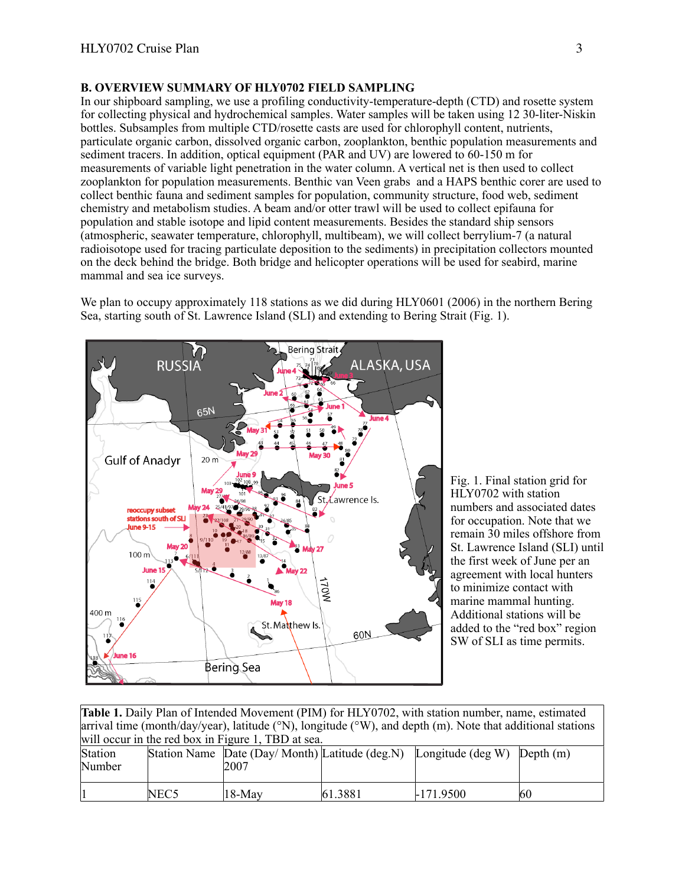# **B. OVERVIEW SUMMARY OF HLY0702 FIELD SAMPLING**

In our shipboard sampling, we use a profiling conductivity-temperature-depth (CTD) and rosette system for collecting physical and hydrochemical samples. Water samples will be taken using 12 30-liter-Niskin bottles. Subsamples from multiple CTD/rosette casts are used for chlorophyll content, nutrients, particulate organic carbon, dissolved organic carbon, zooplankton, benthic population measurements and sediment tracers. In addition, optical equipment (PAR and UV) are lowered to 60-150 m for measurements of variable light penetration in the water column. A vertical net is then used to collect zooplankton for population measurements. Benthic van Veen grabs and a HAPS benthic corer are used to collect benthic fauna and sediment samples for population, community structure, food web, sediment chemistry and metabolism studies. A beam and/or otter trawl will be used to collect epifauna for population and stable isotope and lipid content measurements. Besides the standard ship sensors (atmospheric, seawater temperature, chlorophyll, multibeam), we will collect berrylium-7 (a natural radioisotope used for tracing particulate deposition to the sediments) in precipitation collectors mounted on the deck behind the bridge. Both bridge and helicopter operations will be used for seabird, marine mammal and sea ice surveys.

We plan to occupy approximately 118 stations as we did during HLY0601 (2006) in the northern Bering Sea, starting south of St. Lawrence Island (SLI) and extending to Bering Strait (Fig. 1).



Fig. 1. Final station grid for HLY0702 with station numbers and associated dates for occupation. Note that we remain 30 miles offshore from St. Lawrence Island (SLI) until the first week of June per an agreement with local hunters to minimize contact with marine mammal hunting. Additional stations will be added to the "red box" region SW of SLI as time permits.

| <b>Table 1.</b> Daily Plan of Intended Movement (PIM) for HLY0702, with station number, name, estimated                          |  |      |  |                                                                                     |  |  |  |
|----------------------------------------------------------------------------------------------------------------------------------|--|------|--|-------------------------------------------------------------------------------------|--|--|--|
| arrival time (month/day/year), latitude ( $\degree N$ ), longitude ( $\degree W$ ), and depth (m). Note that additional stations |  |      |  |                                                                                     |  |  |  |
| will occur in the red box in Figure 1, TBD at sea.                                                                               |  |      |  |                                                                                     |  |  |  |
| Station                                                                                                                          |  |      |  | Station Name $\Delta$ Date (Day/Month) Latitude (deg.N) Longitude (deg W) Depth (m) |  |  |  |
| Number                                                                                                                           |  | 2007 |  |                                                                                     |  |  |  |

1 NEC5 |18-May 61.3881 |-171.9500 |60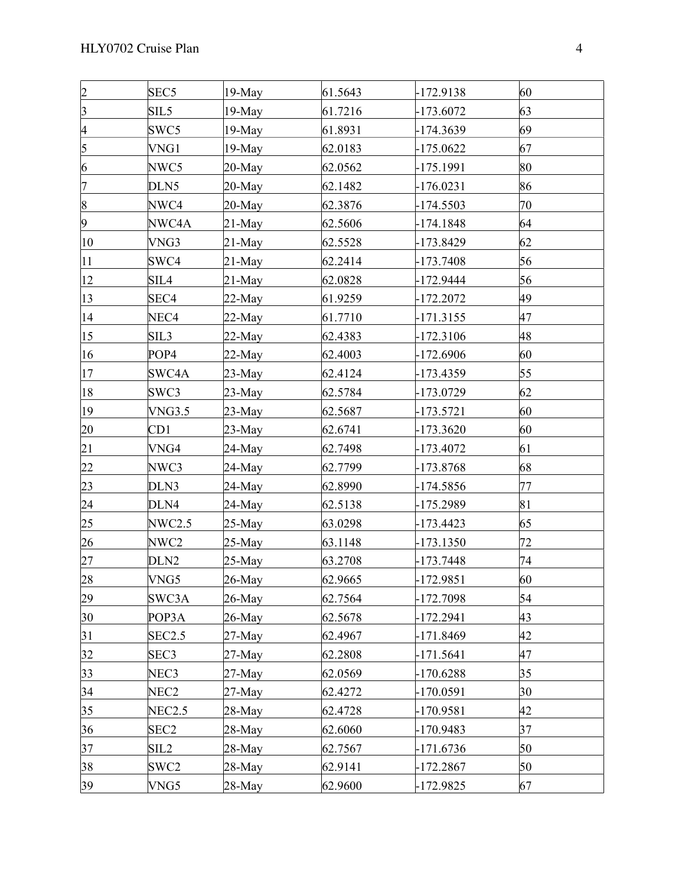| $\overline{2}$          | SEC <sub>5</sub> | $19-May$   | 61.5643 | $-172.9138$ | 60 |  |
|-------------------------|------------------|------------|---------|-------------|----|--|
| $\overline{\mathbf{3}}$ | SIL <sub>5</sub> | 19-May     | 61.7216 | $-173.6072$ | 63 |  |
| 4                       | SWC5             | 19-May     | 61.8931 | -174.3639   | 69 |  |
| 5                       | VNG1             | $19-May$   | 62.0183 | $-175.0622$ | 67 |  |
| 6                       | NWC5             | $20$ -May  | 62.0562 | -175.1991   | 80 |  |
| 7                       | DLN5             | $20$ -May  | 62.1482 | $-176.0231$ | 86 |  |
| $\vert 8$               | NWC4             | $20$ -May  | 62.3876 | $-174.5503$ | 70 |  |
| 9                       | NWC4A            | $21$ -May  | 62.5606 | -174.1848   | 64 |  |
| 10                      | VNG3             | $21$ -May  | 62.5528 | -173.8429   | 62 |  |
| 11                      | SWC4             | $21$ -May  | 62.2414 | $-173.7408$ | 56 |  |
| 12                      | SIL4             | $21$ -May  | 62.0828 | $-172.9444$ | 56 |  |
| 13                      | SEC <sub>4</sub> | $22-May$   | 61.9259 | $-172.2072$ | 49 |  |
| 14                      | NEC4             | $22-May$   | 61.7710 | $-171.3155$ | 47 |  |
| 15                      | SIL3             | $22-May$   | 62.4383 | $-172.3106$ | 48 |  |
| 16                      | POP4             | $22-May$   | 62.4003 | $-172.6906$ | 60 |  |
| 17                      | SWC4A            | $23-May$   | 62.4124 | -173.4359   | 55 |  |
| 18                      | SWC3             | $23-May$   | 62.5784 | -173.0729   | 62 |  |
| 19                      | <b>VNG3.5</b>    | $23-May$   | 62.5687 | -173.5721   | 60 |  |
| 20                      | CD1              | $23-May$   | 62.6741 | $-173.3620$ | 60 |  |
| 21                      | VNG4             | 24-May     | 62.7498 | -173.4072   | 61 |  |
| 22                      | NWC3             | 24-May     | 62.7799 | $-173.8768$ | 68 |  |
| 23                      | DLN3             | 24-May     | 62.8990 | -174.5856   | 77 |  |
| 24                      | DLN4             | $24$ -May  | 62.5138 | -175.2989   | 81 |  |
| 25                      | NWC2.5           | $25-May$   | 63.0298 | $-173.4423$ | 65 |  |
| 26                      | NWC2             | $25-May$   | 63.1148 | $-173.1350$ | 72 |  |
| 27                      | DLN <sub>2</sub> | $25-May$   | 63.2708 | $-173.7448$ | 74 |  |
| 28                      | VNG5             | $26$ -May  | 62.9665 | -172.9851   | 60 |  |
| 29                      | SWC3A            | $26$ -May  | 62.7564 | -172.7098   | 54 |  |
| 30                      | POP3A            | $26$ -May  | 62.5678 | $-172.2941$ | 43 |  |
| 31                      | <b>SEC2.5</b>    | $27$ -May  | 62.4967 | -171.8469   | 42 |  |
| 32                      | SEC <sub>3</sub> | $27$ -May  | 62.2808 | $-171.5641$ | 47 |  |
| 33                      | NEC3             | 27-May     | 62.0569 | $-170.6288$ | 35 |  |
| 34                      | NEC <sub>2</sub> | $27-May$   | 62.4272 | $-170.0591$ | 30 |  |
| 35                      | <b>NEC2.5</b>    | 28-May     | 62.4728 | $-170.9581$ | 42 |  |
| 36                      | SEC <sub>2</sub> | $28 - May$ | 62.6060 | -170.9483   | 37 |  |
| 37                      | SIL <sub>2</sub> | 28-May     | 62.7567 | -171.6736   | 50 |  |
| 38                      | SWC2             | 28-May     | 62.9141 | -172.2867   | 50 |  |
| 39                      | VNG5             | $28-May$   | 62.9600 | -172.9825   | 67 |  |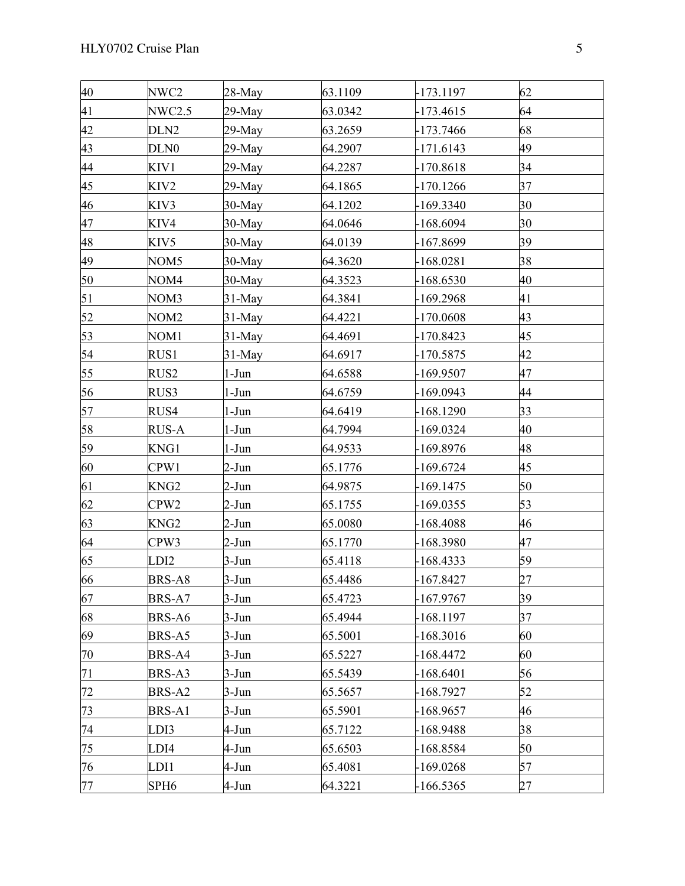| 40 | NWC2             | $28-May$  | 63.1109 | $-173.1197$ | 62 |  |
|----|------------------|-----------|---------|-------------|----|--|
| 41 | NWC2.5           | $29$ -May | 63.0342 | $-173.4615$ | 64 |  |
| 42 | DLN <sub>2</sub> | 29-May    | 63.2659 | -173.7466   | 68 |  |
| 43 | DLN <sub>0</sub> | $29$ -May | 64.2907 | $-171.6143$ | 49 |  |
| 44 | KIV1             | $29$ -May | 64.2287 | $-170.8618$ | 34 |  |
| 45 | KIV2             | $29$ -May | 64.1865 | $-170.1266$ | 37 |  |
| 46 | KIV3             | $30-May$  | 64.1202 | $-169.3340$ | 30 |  |
| 47 | KIV4             | $30$ -May | 64.0646 | $-168.6094$ | 30 |  |
| 48 | KIV5             | $30$ -May | 64.0139 | $-167.8699$ | 39 |  |
| 49 | NOM5             | $30-May$  | 64.3620 | $-168.0281$ | 38 |  |
| 50 | NOM4             | $30-May$  | 64.3523 | $-168.6530$ | 40 |  |
| 51 | NOM3             | $31$ -May | 64.3841 | $-169.2968$ | 41 |  |
| 52 | NOM <sub>2</sub> | $31$ -May | 64.4221 | $-170.0608$ | 43 |  |
| 53 | NOM <sub>1</sub> | $31$ -May | 64.4691 | $-170.8423$ | 45 |  |
| 54 | RUS1             | $31-May$  | 64.6917 | $-170.5875$ | 42 |  |
| 55 | RUS2             | $1-J$ un  | 64.6588 | -169.9507   | 47 |  |
| 56 | RUS3             | 1-Jun     | 64.6759 | $-169.0943$ | 44 |  |
| 57 | RUS4             | 1-Jun     | 64.6419 | $-168.1290$ | 33 |  |
| 58 | RUS-A            | $1-Jun$   | 64.7994 | $-169.0324$ | 40 |  |
| 59 | KNG1             | $1-Jun$   | 64.9533 | $-169.8976$ | 48 |  |
| 60 | CPW1             | 2-Jun     | 65.1776 | $-169.6724$ | 45 |  |
| 61 | KNG <sub>2</sub> | 2-Jun     | 64.9875 | $-169.1475$ | 50 |  |
| 62 | CPW <sub>2</sub> | 2-Jun     | 65.1755 | $-169.0355$ | 53 |  |
| 63 | KNG <sub>2</sub> | 2-Jun     | 65.0080 | $-168.4088$ | 46 |  |
| 64 | CPW3             | 2-Jun     | 65.1770 | $-168.3980$ | 47 |  |
| 65 | LDI2             | $3$ -Jun  | 65.4118 | $-168.4333$ | 59 |  |
| 66 | BRS-A8           | 3-Jun     | 65.4486 | -167.8427   | 27 |  |
| 67 | BRS-A7           | $3-Jun$   | 65.4723 | -167.9767   | 39 |  |
| 68 | BRS-A6           | $3-Jun$   | 65.4944 | $-168.1197$ | 37 |  |
| 69 | BRS-A5           | 3-Jun     | 65.5001 | $-168.3016$ | 60 |  |
| 70 | BRS-A4           | 3-Jun     | 65.5227 | -168.4472   | 60 |  |
| 71 | BRS-A3           | 3-Jun     | 65.5439 | $-168.6401$ | 56 |  |
| 72 | BRS-A2           | 3-Jun     | 65.5657 | $-168.7927$ | 52 |  |
| 73 | BRS-A1           | $3-Jun$   | 65.5901 | $-168.9657$ | 46 |  |
| 74 | LDI3             | 4-Jun     | 65.7122 | -168.9488   | 38 |  |
| 75 | LDI4             | 4-Jun     | 65.6503 | -168.8584   | 50 |  |
| 76 | LDI1             | 4-Jun     | 65.4081 | $-169.0268$ | 57 |  |
| 77 | SPH <sub>6</sub> | 4-Jun     | 64.3221 | $-166.5365$ | 27 |  |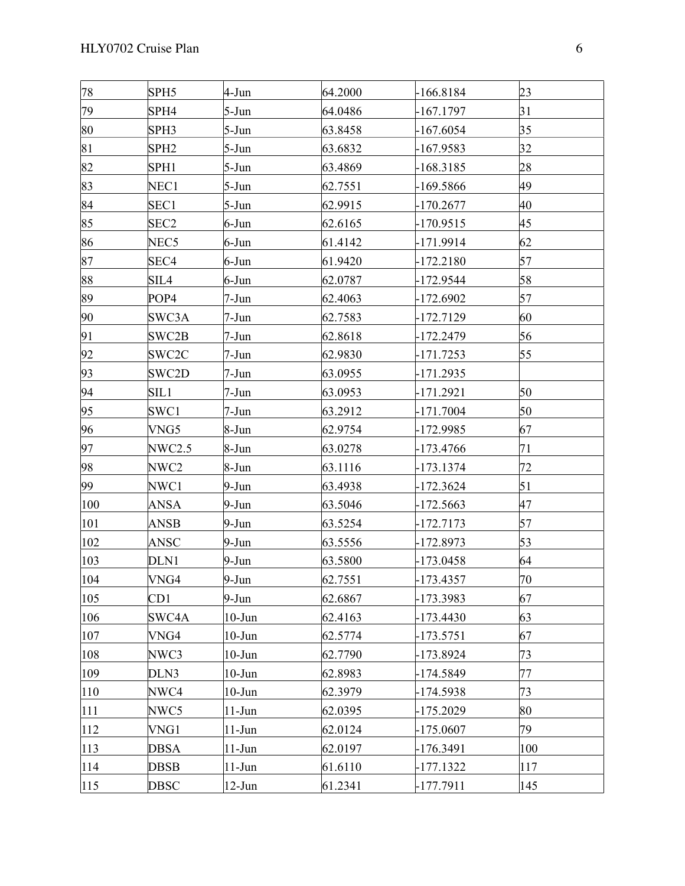| 78  | SPH <sub>5</sub> | 4-Jun      | 64.2000 | $-166.8184$ | 23  |  |
|-----|------------------|------------|---------|-------------|-----|--|
| 79  | SPH4             | 5-Jun      | 64.0486 | -167.1797   | 31  |  |
| 80  | SPH3             | 5-Jun      | 63.8458 | $-167.6054$ | 35  |  |
| 81  | SPH <sub>2</sub> | $5$ -Jun   | 63.6832 | $-167.9583$ | 32  |  |
| 82  | SPH <sub>1</sub> | $5-Jun$    | 63.4869 | $-168.3185$ | 28  |  |
| 83  | NEC1             | 5-Jun      | 62.7551 | $-169.5866$ | 49  |  |
| 84  | SEC1             | $5 - Jun$  | 62.9915 | $-170.2677$ | 40  |  |
| 85  | SEC <sub>2</sub> | 6-Jun      | 62.6165 | -170.9515   | 45  |  |
| 86  | NEC <sub>5</sub> | $6$ -Jun   | 61.4142 | -171.9914   | 62  |  |
| 87  | SEC4             | 6-Jun      | 61.9420 | $-172.2180$ | 57  |  |
| 88  | SIL4             | $6$ -Jun   | 62.0787 | -172.9544   | 58  |  |
| 89  | POP4             | 7-Jun      | 62.4063 | $-172.6902$ | 57  |  |
| 90  | SWC3A            | 7-Jun      | 62.7583 | -172.7129   | 60  |  |
| 91  | SWC2B            | 7-Jun      | 62.8618 | $-172.2479$ | 56  |  |
| 92  | SWC2C            | 7-Jun      | 62.9830 | -171.7253   | 55  |  |
| 93  | SWC2D            | 7-Jun      | 63.0955 | $-171.2935$ |     |  |
| 94  | SIL1             | 7-Jun      | 63.0953 | -171.2921   | 50  |  |
| 95  | SWC1             | 7-Jun      | 63.2912 | $-171.7004$ | 50  |  |
| 96  | VNG5             | 8-Jun      | 62.9754 | -172.9985   | 67  |  |
| 97  | NWC2.5           | 8-Jun      | 63.0278 | $-173.4766$ | 71  |  |
| 98  | NWC2             | 8-Jun      | 63.1116 | $-173.1374$ | 72  |  |
| 99  | NWC1             | 9-Jun      | 63.4938 | -172.3624   | 51  |  |
| 100 | ANSA             | $9$ -Jun   | 63.5046 | $-172.5663$ | 47  |  |
| 101 | ANSB             | $9$ -Jun   | 63.5254 | -172.7173   | 57  |  |
| 102 | ANSC             | $9$ -Jun   | 63.5556 | -172.8973   | 53  |  |
| 103 | DLN1             | 9-Jun      | 63.5800 | $-173.0458$ | 64  |  |
| 104 | VNG4             | $9-Jun$    | 62.7551 | $-173.4357$ | 70  |  |
| 105 | CD1              | 9-Jun      | 62.6867 | -173.3983   | 67  |  |
| 106 | SWC4A            | $10$ -Jun  | 62.4163 | $-173.4430$ | 63  |  |
| 107 | VNG4             | $10$ -Jun  | 62.5774 | -173.5751   | 67  |  |
| 108 | NWC3             | $10$ -Jun  | 62.7790 | -173.8924   | 73  |  |
| 109 | DLN3             | $10$ -Jun  | 62.8983 | -174.5849   | 77  |  |
| 110 | NWC4             | $10 - Jun$ | 62.3979 | -174.5938   | 73  |  |
| 111 | NWC5             | $11-J$ un  | 62.0395 | -175.2029   | 80  |  |
| 112 | VNG1             | $11-Jun$   | 62.0124 | $-175.0607$ | 79  |  |
| 113 | DBSA             | $11-J$ un  | 62.0197 | -176.3491   | 100 |  |
| 114 | <b>DBSB</b>      | $11-J$ un  | 61.6110 | -177.1322   | 117 |  |
| 115 | <b>DBSC</b>      | $12-Jun$   | 61.2341 | $-177.7911$ | 145 |  |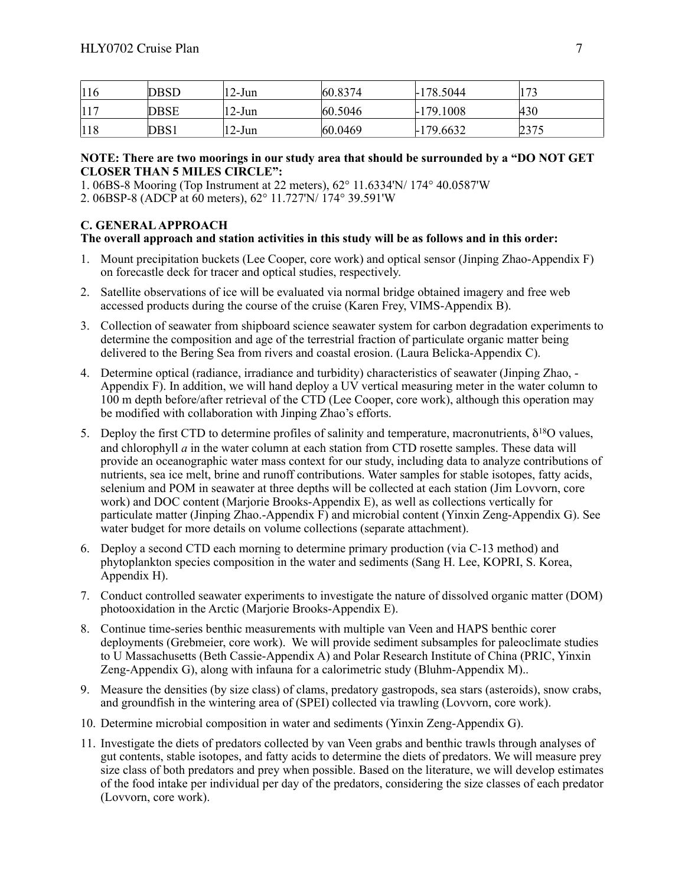| 116 | DBSD        | $12$ -Jun | 60.8374 | $-178.5044$ | $\overline{72}$ |
|-----|-------------|-----------|---------|-------------|-----------------|
|     | <b>DBSE</b> | $12$ -Jun | 60.5046 | $-179.1008$ | 430             |
| 118 | DBS1        | $12-Jun$  | 60.0469 | $-179.6632$ | 2375            |

#### **NOTE: There are two moorings in our study area that should be surrounded by a "DO NOT GET CLOSER THAN 5 MILES CIRCLE":**

1. 06BS-8 Mooring (Top Instrument at 22 meters), 62° 11.6334'N/ 174° 40.0587'W

2. 06BSP-8 (ADCP at 60 meters), 62° 11.727'N/ 174° 39.591'W

# **C. GENERAL APPROACH**

#### **The overall approach and station activities in this study will be as follows and in this order:**

- 1. Mount precipitation buckets (Lee Cooper, core work) and optical sensor (Jinping Zhao-Appendix F) on forecastle deck for tracer and optical studies, respectively.
- 2. Satellite observations of ice will be evaluated via normal bridge obtained imagery and free web accessed products during the course of the cruise (Karen Frey, VIMS-Appendix B).
- 3. Collection of seawater from shipboard science seawater system for carbon degradation experiments to determine the composition and age of the terrestrial fraction of particulate organic matter being delivered to the Bering Sea from rivers and coastal erosion. (Laura Belicka-Appendix C).
- 4. Determine optical (radiance, irradiance and turbidity) characteristics of seawater (Jinping Zhao, Appendix F). In addition, we will hand deploy a UV vertical measuring meter in the water column to 100 m depth before/after retrieval of the CTD (Lee Cooper, core work), although this operation may be modified with collaboration with Jinping Zhao's efforts.
- 5. Deploy the first CTD to determine profiles of salinity and temperature, macronutrients,  $δ<sup>18</sup>O$  values, and chlorophyll *a* in the water column at each station from CTD rosette samples. These data will provide an oceanographic water mass context for our study, including data to analyze contributions of nutrients, sea ice melt, brine and runoff contributions. Water samples for stable isotopes, fatty acids, selenium and POM in seawater at three depths will be collected at each station (Jim Lovvorn, core work) and DOC content (Marjorie Brooks-Appendix E), as well as collections vertically for particulate matter (Jinping Zhao.-Appendix F) and microbial content (Yinxin Zeng-Appendix G). See water budget for more details on volume collections (separate attachment).
- 6. Deploy a second CTD each morning to determine primary production (via C-13 method) and phytoplankton species composition in the water and sediments (Sang H. Lee, KOPRI, S. Korea, Appendix H).
- 7. Conduct controlled seawater experiments to investigate the nature of dissolved organic matter (DOM) photooxidation in the Arctic (Marjorie Brooks-Appendix E).
- 8. Continue time-series benthic measurements with multiple van Veen and HAPS benthic corer deployments (Grebmeier, core work). We will provide sediment subsamples for paleoclimate studies to U Massachusetts (Beth Cassie-Appendix A) and Polar Research Institute of China (PRIC, Yinxin Zeng-Appendix G), along with infauna for a calorimetric study (Bluhm-Appendix M)..
- 9. Measure the densities (by size class) of clams, predatory gastropods, sea stars (asteroids), snow crabs, and groundfish in the wintering area of (SPEI) collected via trawling (Lovvorn, core work).
- 10. Determine microbial composition in water and sediments (Yinxin Zeng-Appendix G).
- 11. Investigate the diets of predators collected by van Veen grabs and benthic trawls through analyses of gut contents, stable isotopes, and fatty acids to determine the diets of predators. We will measure prey size class of both predators and prey when possible. Based on the literature, we will develop estimates of the food intake per individual per day of the predators, considering the size classes of each predator (Lovvorn, core work).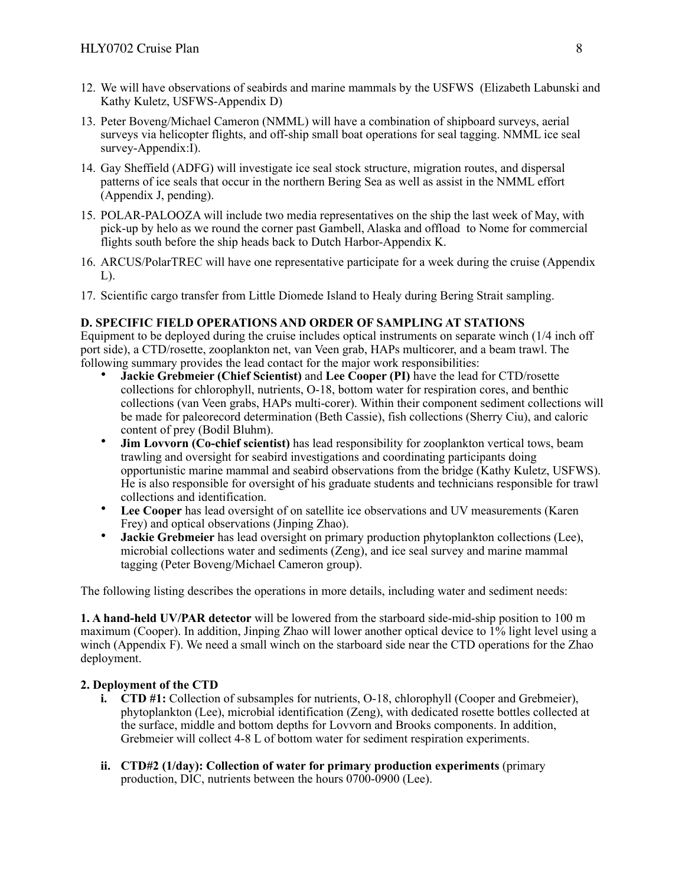- 12. We will have observations of seabirds and marine mammals by the USFWS (Elizabeth Labunski and Kathy Kuletz, USFWS-Appendix D)
- 13. Peter Boveng/Michael Cameron (NMML) will have a combination of shipboard surveys, aerial surveys via helicopter flights, and off-ship small boat operations for seal tagging. NMML ice seal survey-Appendix:I).
- 14. Gay Sheffield (ADFG) will investigate ice seal stock structure, migration routes, and dispersal patterns of ice seals that occur in the northern Bering Sea as well as assist in the NMML effort (Appendix J, pending).
- 15. POLAR-PALOOZA will include two media representatives on the ship the last week of May, with pick-up by helo as we round the corner past Gambell, Alaska and offload to Nome for commercial flights south before the ship heads back to Dutch Harbor-Appendix K.
- 16. ARCUS/PolarTREC will have one representative participate for a week during the cruise (Appendix  $L$ ).
- 17. Scientific cargo transfer from Little Diomede Island to Healy during Bering Strait sampling.

# **D. SPECIFIC FIELD OPERATIONS AND ORDER OF SAMPLING AT STATIONS**

Equipment to be deployed during the cruise includes optical instruments on separate winch (1/4 inch off port side), a CTD/rosette, zooplankton net, van Veen grab, HAPs multicorer, and a beam trawl. The following summary provides the lead contact for the major work responsibilities:

- **Jackie Grebmeier (Chief Scientist)** and **Lee Cooper (PI)** have the lead for CTD/rosette collections for chlorophyll, nutrients, O-18, bottom water for respiration cores, and benthic collections (van Veen grabs, HAPs multi-corer). Within their component sediment collections will be made for paleorecord determination (Beth Cassie), fish collections (Sherry Ciu), and caloric content of prey (Bodil Bluhm).
- **Jim Lovvorn (Co-chief scientist)** has lead responsibility for zooplankton vertical tows, beam trawling and oversight for seabird investigations and coordinating participants doing opportunistic marine mammal and seabird observations from the bridge (Kathy Kuletz, USFWS). He is also responsible for oversight of his graduate students and technicians responsible for trawl collections and identification.
- **Lee Cooper** has lead oversight of on satellite ice observations and UV measurements (Karen Frey) and optical observations (Jinping Zhao).
- **Jackie Grebmeier** has lead oversight on primary production phytoplankton collections (Lee), microbial collections water and sediments (Zeng), and ice seal survey and marine mammal tagging (Peter Boveng/Michael Cameron group).

The following listing describes the operations in more details, including water and sediment needs:

**1. A hand-held UV/PAR detector** will be lowered from the starboard side-mid-ship position to 100 m maximum (Cooper). In addition, Jinping Zhao will lower another optical device to  $1\%$  light level using a winch (Appendix F). We need a small winch on the starboard side near the CTD operations for the Zhao deployment.

#### **2. Deployment of the CTD**

- **i. CTD #1:** Collection of subsamples for nutrients, O-18, chlorophyll (Cooper and Grebmeier), phytoplankton (Lee), microbial identification (Zeng), with dedicated rosette bottles collected at the surface, middle and bottom depths for Lovvorn and Brooks components. In addition, Grebmeier will collect 4-8 L of bottom water for sediment respiration experiments.
- **ii. CTD#2 (1/day): Collection of water for primary production experiments** (primary production, DIC, nutrients between the hours 0700-0900 (Lee).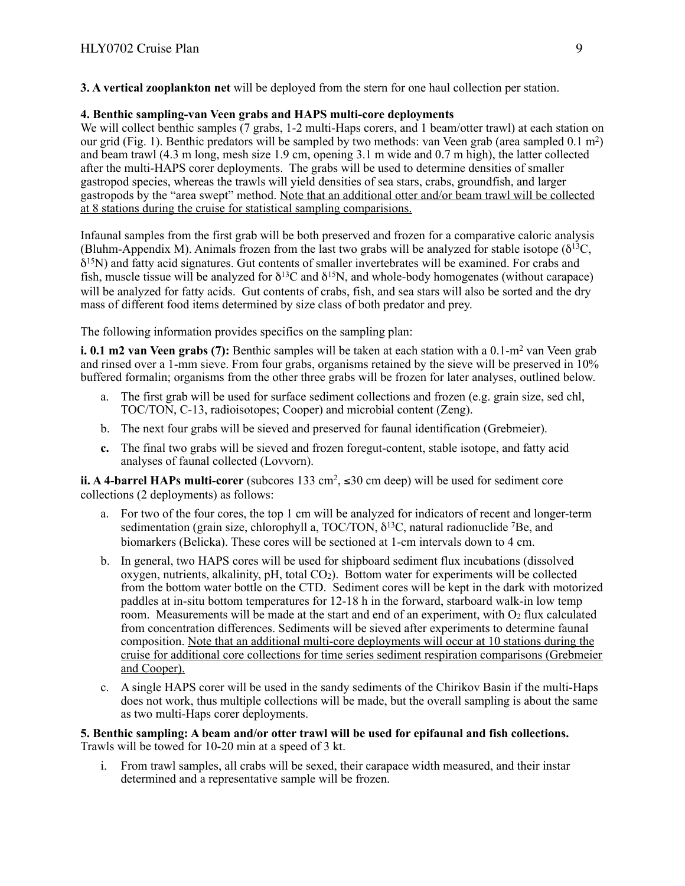**3. A vertical zooplankton net** will be deployed from the stern for one haul collection per station.

# **4. Benthic sampling-van Veen grabs and HAPS multi-core deployments**

We will collect benthic samples (7 grabs, 1-2 multi-Haps corers, and 1 beam/otter trawl) at each station on our grid (Fig. 1). Benthic predators will be sampled by two methods: van Veen grab (area sampled 0.1 m2) and beam trawl (4.3 m long, mesh size 1.9 cm, opening 3.1 m wide and 0.7 m high), the latter collected after the multi-HAPS corer deployments. The grabs will be used to determine densities of smaller gastropod species, whereas the trawls will yield densities of sea stars, crabs, groundfish, and larger gastropods by the "area swept" method. Note that an additional otter and/or beam trawl will be collected at 8 stations during the cruise for statistical sampling comparisions.

Infaunal samples from the first grab will be both preserved and frozen for a comparative caloric analysis (Bluhm-Appendix M). Animals frozen from the last two grabs will be analyzed for stable isotope ( $\delta^{13}C$ ,  $\delta^{15}$ N) and fatty acid signatures. Gut contents of smaller invertebrates will be examined. For crabs and fish, muscle tissue will be analyzed for  $\delta^{13}C$  and  $\delta^{15}N$ , and whole-body homogenates (without carapace) will be analyzed for fatty acids. Gut contents of crabs, fish, and sea stars will also be sorted and the dry mass of different food items determined by size class of both predator and prey.

The following information provides specifics on the sampling plan:

**i. 0.1 m2 van Veen grabs (7):** Benthic samples will be taken at each station with a 0.1-m<sup>2</sup> van Veen grab and rinsed over a 1-mm sieve. From four grabs, organisms retained by the sieve will be preserved in 10% buffered formalin; organisms from the other three grabs will be frozen for later analyses, outlined below.

- a. The first grab will be used for surface sediment collections and frozen (e.g. grain size, sed chl, TOC/TON, C-13, radioisotopes; Cooper) and microbial content (Zeng).
- b. The next four grabs will be sieved and preserved for faunal identification (Grebmeier).
- **c.** The final two grabs will be sieved and frozen foregut-content, stable isotope, and fatty acid analyses of faunal collected (Lovvorn).

**ii. A 4-barrel HAPs multi-corer** (subcores 133 cm2, ≤30 cm deep) will be used for sediment core collections (2 deployments) as follows:

- a. For two of the four cores, the top 1 cm will be analyzed for indicators of recent and longer-term sedimentation (grain size, chlorophyll a, TOC/TON,  $\delta^{13}$ C, natural radionuclide <sup>7</sup>Be, and biomarkers (Belicka). These cores will be sectioned at 1-cm intervals down to 4 cm.
- b. In general, two HAPS cores will be used for shipboard sediment flux incubations (dissolved oxygen, nutrients, alkalinity,  $pH$ , total  $CO<sub>2</sub>$ ). Bottom water for experiments will be collected from the bottom water bottle on the CTD. Sediment cores will be kept in the dark with motorized paddles at in-situ bottom temperatures for 12-18 h in the forward, starboard walk-in low temp room. Measurements will be made at the start and end of an experiment, with  $O<sub>2</sub>$  flux calculated from concentration differences. Sediments will be sieved after experiments to determine faunal composition. Note that an additional multi-core deployments will occur at 10 stations during the cruise for additional core collections for time series sediment respiration comparisons (Grebmeier and Cooper).
- c. A single HAPS corer will be used in the sandy sediments of the Chirikov Basin if the multi-Haps does not work, thus multiple collections will be made, but the overall sampling is about the same as two multi-Haps corer deployments.

**5. Benthic sampling: A beam and/or otter trawl will be used for epifaunal and fish collections.** Trawls will be towed for 10-20 min at a speed of 3 kt.

i. From trawl samples, all crabs will be sexed, their carapace width measured, and their instar determined and a representative sample will be frozen.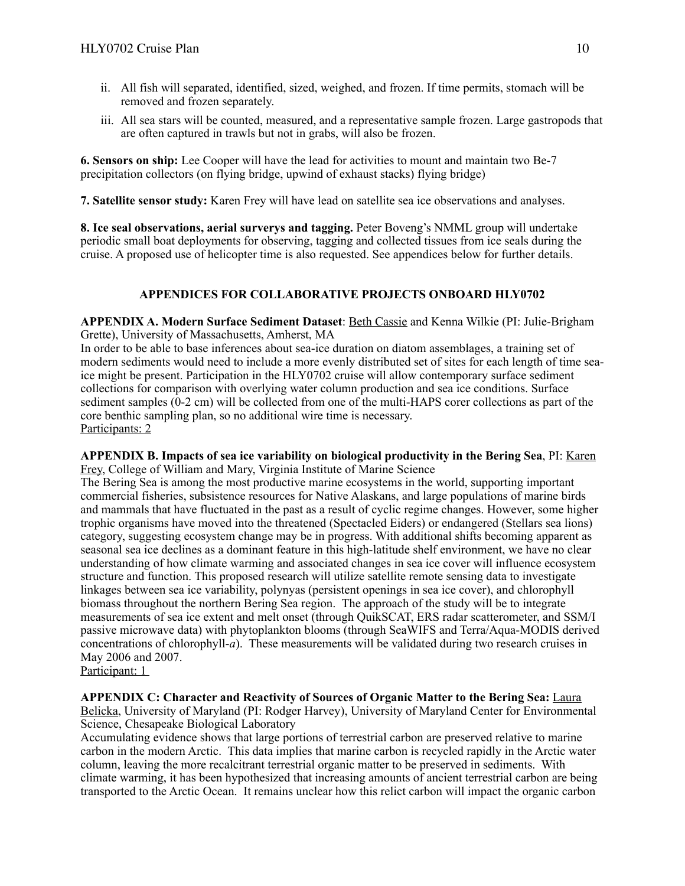- ii. All fish will separated, identified, sized, weighed, and frozen. If time permits, stomach will be removed and frozen separately.
- iii. All sea stars will be counted, measured, and a representative sample frozen. Large gastropods that are often captured in trawls but not in grabs, will also be frozen.

**6. Sensors on ship:** Lee Cooper will have the lead for activities to mount and maintain two Be-7 precipitation collectors (on flying bridge, upwind of exhaust stacks) flying bridge)

**7. Satellite sensor study:** Karen Frey will have lead on satellite sea ice observations and analyses.

**8. Ice seal observations, aerial surverys and tagging.** Peter Boveng's NMML group will undertake periodic small boat deployments for observing, tagging and collected tissues from ice seals during the cruise. A proposed use of helicopter time is also requested. See appendices below for further details.

# **APPENDICES FOR COLLABORATIVE PROJECTS ONBOARD HLY0702**

**APPENDIX A. Modern Surface Sediment Dataset**: Beth Cassie and Kenna Wilkie (PI: Julie-Brigham Grette), University of Massachusetts, Amherst, MA

In order to be able to base inferences about sea-ice duration on diatom assemblages, a training set of modern sediments would need to include a more evenly distributed set of sites for each length of time seaice might be present. Participation in the HLY0702 cruise will allow contemporary surface sediment collections for comparison with overlying water column production and sea ice conditions. Surface sediment samples (0-2 cm) will be collected from one of the multi-HAPS corer collections as part of the core benthic sampling plan, so no additional wire time is necessary. Participants: 2

**APPENDIX B. Impacts of sea ice variability on biological productivity in the Bering Sea**, PI: Karen Frey, College of William and Mary, Virginia Institute of Marine Science

The Bering Sea is among the most productive marine ecosystems in the world, supporting important commercial fisheries, subsistence resources for Native Alaskans, and large populations of marine birds and mammals that have fluctuated in the past as a result of cyclic regime changes. However, some higher trophic organisms have moved into the threatened (Spectacled Eiders) or endangered (Stellars sea lions) category, suggesting ecosystem change may be in progress. With additional shifts becoming apparent as seasonal sea ice declines as a dominant feature in this high-latitude shelf environment, we have no clear understanding of how climate warming and associated changes in sea ice cover will influence ecosystem structure and function. This proposed research will utilize satellite remote sensing data to investigate linkages between sea ice variability, polynyas (persistent openings in sea ice cover), and chlorophyll biomass throughout the northern Bering Sea region. The approach of the study will be to integrate measurements of sea ice extent and melt onset (through QuikSCAT, ERS radar scatterometer, and SSM/I passive microwave data) with phytoplankton blooms (through SeaWIFS and Terra/Aqua-MODIS derived concentrations of chlorophyll-*a*). These measurements will be validated during two research cruises in May 2006 and 2007.

Participant: 1

**APPENDIX C: Character and Reactivity of Sources of Organic Matter to the Bering Sea:** Laura Belicka, University of Maryland (PI: Rodger Harvey), University of Maryland Center for Environmental Science, Chesapeake Biological Laboratory

Accumulating evidence shows that large portions of terrestrial carbon are preserved relative to marine carbon in the modern Arctic. This data implies that marine carbon is recycled rapidly in the Arctic water column, leaving the more recalcitrant terrestrial organic matter to be preserved in sediments. With climate warming, it has been hypothesized that increasing amounts of ancient terrestrial carbon are being transported to the Arctic Ocean. It remains unclear how this relict carbon will impact the organic carbon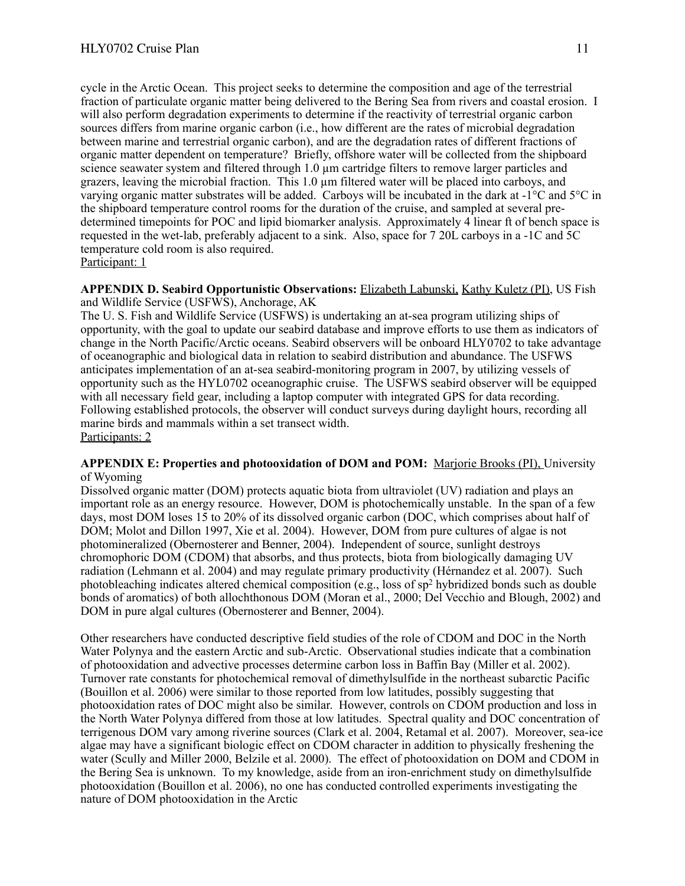cycle in the Arctic Ocean. This project seeks to determine the composition and age of the terrestrial fraction of particulate organic matter being delivered to the Bering Sea from rivers and coastal erosion. I will also perform degradation experiments to determine if the reactivity of terrestrial organic carbon sources differs from marine organic carbon (i.e., how different are the rates of microbial degradation between marine and terrestrial organic carbon), and are the degradation rates of different fractions of organic matter dependent on temperature? Briefly, offshore water will be collected from the shipboard science seawater system and filtered through 1.0 um cartridge filters to remove larger particles and grazers, leaving the microbial fraction. This 1.0 µm filtered water will be placed into carboys, and varying organic matter substrates will be added. Carboys will be incubated in the dark at -1°C and 5°C in the shipboard temperature control rooms for the duration of the cruise, and sampled at several predetermined timepoints for POC and lipid biomarker analysis. Approximately 4 linear ft of bench space is requested in the wet-lab, preferably adjacent to a sink. Also, space for 7 20L carboys in a -1C and 5C temperature cold room is also required.

#### Participant: 1

#### **APPENDIX D. Seabird Opportunistic Observations:** Elizabeth Labunski, Kathy Kuletz (PI), US Fish and Wildlife Service (USFWS), Anchorage, AK

The U. S. Fish and Wildlife Service (USFWS) is undertaking an at-sea program utilizing ships of opportunity, with the goal to update our seabird database and improve efforts to use them as indicators of change in the North Pacific/Arctic oceans. Seabird observers will be onboard HLY0702 to take advantage of oceanographic and biological data in relation to seabird distribution and abundance. The USFWS anticipates implementation of an at-sea seabird-monitoring program in 2007, by utilizing vessels of opportunity such as the HYL0702 oceanographic cruise. The USFWS seabird observer will be equipped with all necessary field gear, including a laptop computer with integrated GPS for data recording. Following established protocols, the observer will conduct surveys during daylight hours, recording all marine birds and mammals within a set transect width. Participants: 2

#### **APPENDIX E: Properties and photooxidation of DOM and POM:** Marjorie Brooks (PI), University of Wyoming

Dissolved organic matter (DOM) protects aquatic biota from ultraviolet (UV) radiation and plays an important role as an energy resource. However, DOM is photochemically unstable. In the span of a few days, most DOM loses 15 to 20% of its dissolved organic carbon (DOC, which comprises about half of DOM; Molot and Dillon 1997, Xie et al. 2004). However, DOM from pure cultures of algae is not photomineralized (Obernosterer and Benner, 2004). Independent of source, sunlight destroys chromophoric DOM (CDOM) that absorbs, and thus protects, biota from biologically damaging UV radiation (Lehmann et al. 2004) and may regulate primary productivity (Hérnandez et al. 2007). Such photobleaching indicates altered chemical composition (e.g., loss of sp2 hybridized bonds such as double bonds of aromatics) of both allochthonous DOM (Moran et al., 2000; Del Vecchio and Blough, 2002) and DOM in pure algal cultures (Obernosterer and Benner, 2004).

Other researchers have conducted descriptive field studies of the role of CDOM and DOC in the North Water Polynya and the eastern Arctic and sub-Arctic. Observational studies indicate that a combination of photooxidation and advective processes determine carbon loss in Baffin Bay (Miller et al. 2002). Turnover rate constants for photochemical removal of dimethylsulfide in the northeast subarctic Pacific (Bouillon et al. 2006) were similar to those reported from low latitudes, possibly suggesting that photooxidation rates of DOC might also be similar. However, controls on CDOM production and loss in the North Water Polynya differed from those at low latitudes. Spectral quality and DOC concentration of terrigenous DOM vary among riverine sources (Clark et al. 2004, Retamal et al. 2007). Moreover, sea-ice algae may have a significant biologic effect on CDOM character in addition to physically freshening the water (Scully and Miller 2000, Belzile et al. 2000). The effect of photooxidation on DOM and CDOM in the Bering Sea is unknown. To my knowledge, aside from an iron-enrichment study on dimethylsulfide photooxidation (Bouillon et al. 2006), no one has conducted controlled experiments investigating the nature of DOM photooxidation in the Arctic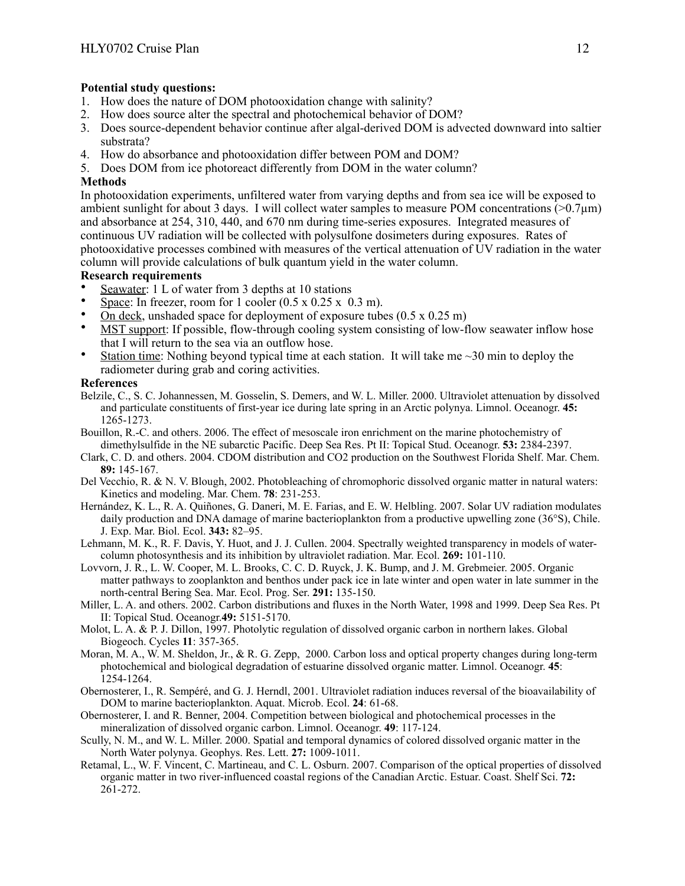### **Potential study questions:**

- 1. How does the nature of DOM photooxidation change with salinity?
- 2. How does source alter the spectral and photochemical behavior of DOM?
- 3. Does source-dependent behavior continue after algal-derived DOM is advected downward into saltier substrata?
- 4. How do absorbance and photooxidation differ between POM and DOM?
- 5. Does DOM from ice photoreact differently from DOM in the water column?

# **Methods**

In photooxidation experiments, unfiltered water from varying depths and from sea ice will be exposed to ambient sunlight for about 3 days. I will collect water samples to measure POM concentrations ( $>0.7\mu$ m) and absorbance at 254, 310, 440, and 670 nm during time-series exposures. Integrated measures of continuous UV radiation will be collected with polysulfone dosimeters during exposures. Rates of photooxidative processes combined with measures of the vertical attenuation of UV radiation in the water column will provide calculations of bulk quantum yield in the water column.

# **Research requirements**

- Seawater: 1 L of water from 3 depths at 10 stations
- Space: In freezer, room for 1 cooler  $(0.5 \times 0.25 \times 0.3 \text{ m})$ .
- On deck, unshaded space for deployment of exposure tubes  $(0.5 \times 0.25 \text{ m})$
- MST support: If possible, flow-through cooling system consisting of low-flow seawater inflow hose that I will return to the sea via an outflow hose.
- Station time: Nothing beyond typical time at each station. It will take me  $\sim$ 30 min to deploy the radiometer during grab and coring activities.

#### **References**

- Belzile, C., S. C. Johannessen, M. Gosselin, S. Demers, and W. L. Miller. 2000. Ultraviolet attenuation by dissolved and particulate constituents of first-year ice during late spring in an Arctic polynya. Limnol. Oceanogr. **45:**  1265-1273.
- Bouillon, R.-C. and others. 2006. The effect of mesoscale iron enrichment on the marine photochemistry of dimethylsulfide in the NE subarctic Pacific. Deep Sea Res. Pt II: Topical Stud. Oceanogr. **53:** 2384-2397.
- Clark, C. D. and others. 2004. CDOM distribution and CO2 production on the Southwest Florida Shelf. Mar. Chem. **89:** 145-167.
- Del Vecchio, R. & N. V. Blough, 2002. Photobleaching of chromophoric dissolved organic matter in natural waters: Kinetics and modeling. Mar. Chem. **78**: 231-253.
- Hernández, K. L., R. A. Quiñones, G. Daneri, M. E. Farias, and E. W. Helbling. 2007. Solar UV radiation modulates daily production and DNA damage of marine bacterioplankton from a productive upwelling zone (36°S), Chile. J. Exp. Mar. Biol. Ecol. **343:** 82–95.
- Lehmann, M. K., R. F. Davis, Y. Huot, and J. J. Cullen. 2004. Spectrally weighted transparency in models of watercolumn photosynthesis and its inhibition by ultraviolet radiation. Mar. Ecol. **269:** 101-110.
- Lovvorn, J. R., L. W. Cooper, M. L. Brooks, C. C. D. Ruyck, J. K. Bump, and J. M. Grebmeier. 2005. Organic matter pathways to zooplankton and benthos under pack ice in late winter and open water in late summer in the north-central Bering Sea. Mar. Ecol. Prog. Ser. **291:** 135-150.
- Miller, L. A. and others. 2002. Carbon distributions and fluxes in the North Water, 1998 and 1999. Deep Sea Res. Pt II: Topical Stud. Oceanogr.**49:** 5151-5170.
- Molot, L. A. & P. J. Dillon, 1997. Photolytic regulation of dissolved organic carbon in northern lakes. Global Biogeoch. Cycles **11**: 357-365.
- Moran, M. A., W. M. Sheldon, Jr., & R. G. Zepp, 2000. Carbon loss and optical property changes during long-term photochemical and biological degradation of estuarine dissolved organic matter. Limnol. Oceanogr. **45**: 1254-1264.
- Obernosterer, I., R. Sempéré, and G. J. Herndl, 2001. Ultraviolet radiation induces reversal of the bioavailability of DOM to marine bacterioplankton. Aquat. Microb. Ecol. **24**: 61-68.
- Obernosterer, I. and R. Benner, 2004. Competition between biological and photochemical processes in the mineralization of dissolved organic carbon. Limnol. Oceanogr. **49**: 117-124.
- Scully, N. M., and W. L. Miller. 2000. Spatial and temporal dynamics of colored dissolved organic matter in the North Water polynya. Geophys. Res. Lett. **27:** 1009-1011.
- Retamal, L., W. F. Vincent, C. Martineau, and C. L. Osburn. 2007. Comparison of the optical properties of dissolved organic matter in two river-influenced coastal regions of the Canadian Arctic. Estuar. Coast. Shelf Sci. **72:**  261-272.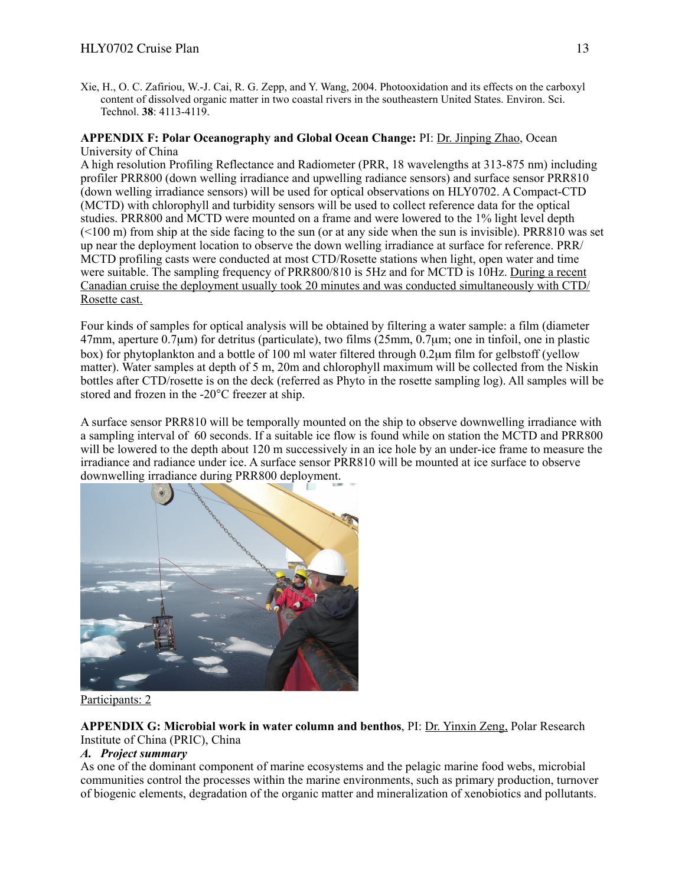Xie, H., O. C. Zafiriou, W.-J. Cai, R. G. Zepp, and Y. Wang, 2004. Photooxidation and its effects on the carboxyl content of dissolved organic matter in two coastal rivers in the southeastern United States. Environ. Sci. Technol. **38**: 4113-4119.

#### **APPENDIX F: Polar Oceanography and Global Ocean Change:** PI: Dr. Jinping Zhao, Ocean University of China

A high resolution Profiling Reflectance and Radiometer (PRR, 18 wavelengths at 313-875 nm) including profiler PRR800 (down welling irradiance and upwelling radiance sensors) and surface sensor PRR810 (down welling irradiance sensors) will be used for optical observations on HLY0702. A Compact-CTD (MCTD) with chlorophyll and turbidity sensors will be used to collect reference data for the optical studies. PRR800 and MCTD were mounted on a frame and were lowered to the 1% light level depth  $($  <100 m) from ship at the side facing to the sun (or at any side when the sun is invisible). PRR810 was set up near the deployment location to observe the down welling irradiance at surface for reference. PRR/ MCTD profiling casts were conducted at most CTD/Rosette stations when light, open water and time were suitable. The sampling frequency of PRR800/810 is 5Hz and for MCTD is 10Hz. During a recent Canadian cruise the deployment usually took 20 minutes and was conducted simultaneously with CTD/ Rosette cast.

Four kinds of samples for optical analysis will be obtained by filtering a water sample: a film (diameter 47mm, aperture 0.7µm) for detritus (particulate), two films (25mm, 0.7µm; one in tinfoil, one in plastic box) for phytoplankton and a bottle of 100 ml water filtered through 0.2µm film for gelbstoff (yellow matter). Water samples at depth of 5 m, 20m and chlorophyll maximum will be collected from the Niskin bottles after CTD/rosette is on the deck (referred as Phyto in the rosette sampling log). All samples will be stored and frozen in the -20°C freezer at ship.

A surface sensor PRR810 will be temporally mounted on the ship to observe downwelling irradiance with a sampling interval of 60 seconds. If a suitable ice flow is found while on station the MCTD and PRR800 will be lowered to the depth about 120 m successively in an ice hole by an under-ice frame to measure the irradiance and radiance under ice. A surface sensor PRR810 will be mounted at ice surface to observe downwelling irradiance during PRR800 deployment.



Participants: 2

# **APPENDIX G: Microbial work in water column and benthos**, PI: Dr. Yinxin Zeng, Polar Research Institute of China (PRIC), China

# *A. Project summary*

As one of the dominant component of marine ecosystems and the pelagic marine food webs, microbial communities control the processes within the marine environments, such as primary production, turnover of biogenic elements, degradation of the organic matter and mineralization of xenobiotics and pollutants.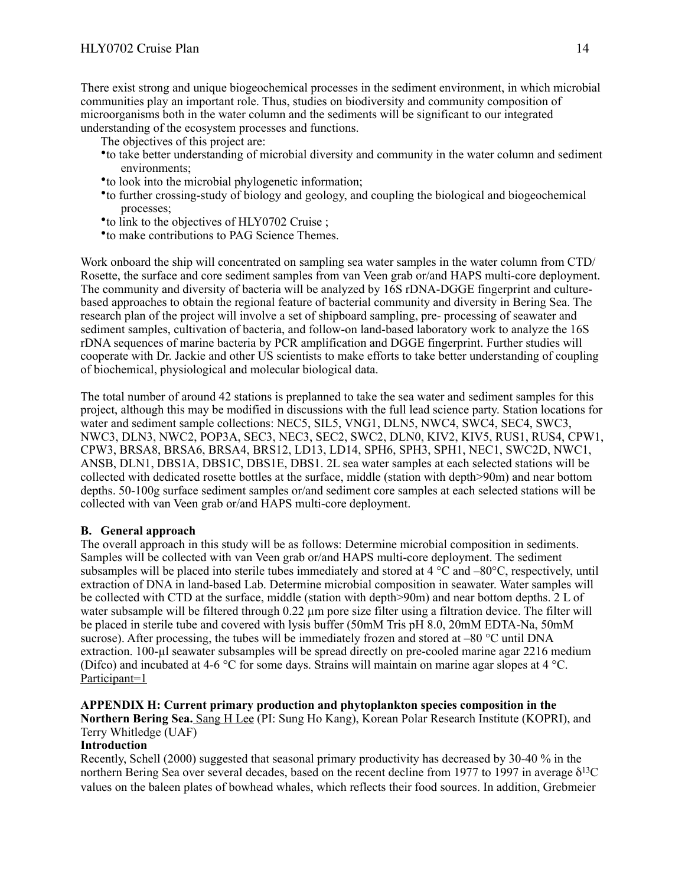There exist strong and unique biogeochemical processes in the sediment environment, in which microbial communities play an important role. Thus, studies on biodiversity and community composition of microorganisms both in the water column and the sediments will be significant to our integrated understanding of the ecosystem processes and functions.

The objectives of this project are:

- •to take better understanding of microbial diversity and community in the water column and sediment environments;
- •to look into the microbial phylogenetic information;
- •to further crossing-study of biology and geology, and coupling the biological and biogeochemical processes;
- •to link to the objectives of HLY0702 Cruise ;
- •to make contributions to PAG Science Themes.

Work onboard the ship will concentrated on sampling sea water samples in the water column from CTD/ Rosette, the surface and core sediment samples from van Veen grab or/and HAPS multi-core deployment. The community and diversity of bacteria will be analyzed by 16S rDNA-DGGE fingerprint and culturebased approaches to obtain the regional feature of bacterial community and diversity in Bering Sea. The research plan of the project will involve a set of shipboard sampling, pre- processing of seawater and sediment samples, cultivation of bacteria, and follow-on land-based laboratory work to analyze the 16S rDNA sequences of marine bacteria by PCR amplification and DGGE fingerprint. Further studies will cooperate with Dr. Jackie and other US scientists to make efforts to take better understanding of coupling of biochemical, physiological and molecular biological data.

The total number of around 42 stations is preplanned to take the sea water and sediment samples for this project, although this may be modified in discussions with the full lead science party. Station locations for water and sediment sample collections: NEC5, SIL5, VNG1, DLN5, NWC4, SWC4, SEC4, SWC3, NWC3, DLN3, NWC2, POP3A, SEC3, NEC3, SEC2, SWC2, DLN0, KIV2, KIV5, RUS1, RUS4, CPW1, CPW3, BRSA8, BRSA6, BRSA4, BRS12, LD13, LD14, SPH6, SPH3, SPH1, NEC1, SWC2D, NWC1, ANSB, DLN1, DBS1A, DBS1C, DBS1E, DBS1. 2L sea water samples at each selected stations will be collected with dedicated rosette bottles at the surface, middle (station with depth>90m) and near bottom depths. 50-100g surface sediment samples or/and sediment core samples at each selected stations will be collected with van Veen grab or/and HAPS multi-core deployment.

#### **B. General approach**

The overall approach in this study will be as follows: Determine microbial composition in sediments. Samples will be collected with van Veen grab or/and HAPS multi-core deployment. The sediment subsamples will be placed into sterile tubes immediately and stored at 4 °C and –80°C, respectively, until extraction of DNA in land-based Lab. Determine microbial composition in seawater. Water samples will be collected with CTD at the surface, middle (station with depth>90m) and near bottom depths. 2 L of water subsample will be filtered through 0.22 um pore size filter using a filtration device. The filter will be placed in sterile tube and covered with lysis buffer (50mM Tris pH 8.0, 20mM EDTA-Na, 50mM sucrose). After processing, the tubes will be immediately frozen and stored at  $-80$  °C until DNA extraction. 100-ul seawater subsamples will be spread directly on pre-cooled marine agar 2216 medium (Difco) and incubated at 4-6 °C for some days. Strains will maintain on marine agar slopes at 4 °C. Participant=1

#### **APPENDIX H: Current primary production and phytoplankton species composition in the**

**Northern Bering Sea.** Sang H Lee (PI: Sung Ho Kang), Korean Polar Research Institute (KOPRI), and Terry Whitledge (UAF)

### **Introduction**

Recently, Schell (2000) suggested that seasonal primary productivity has decreased by 30-40 % in the northern Bering Sea over several decades, based on the recent decline from 1977 to 1997 in average δ<sup>13</sup>C values on the baleen plates of bowhead whales, which reflects their food sources. In addition, Grebmeier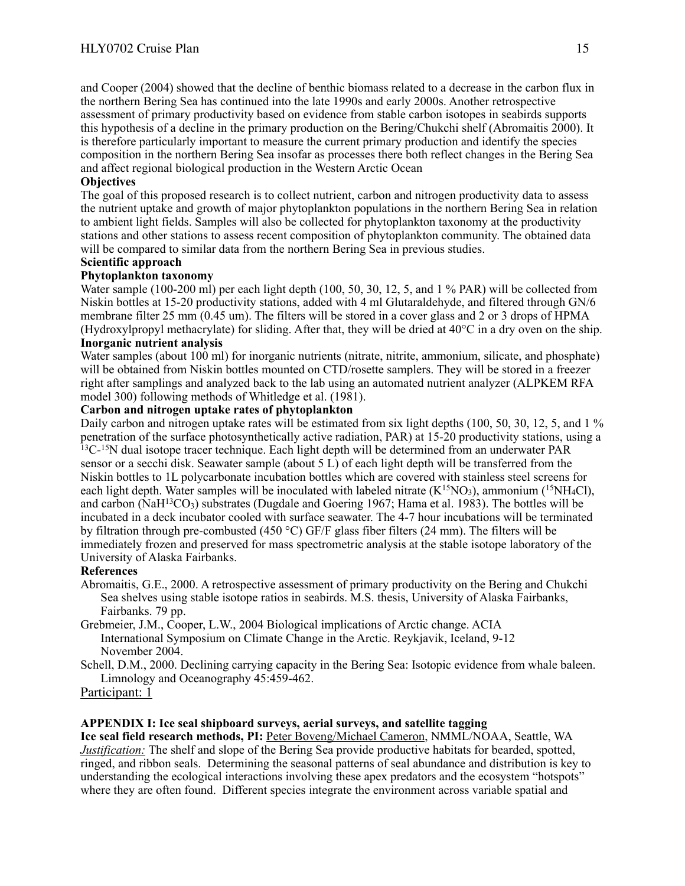and Cooper (2004) showed that the decline of benthic biomass related to a decrease in the carbon flux in the northern Bering Sea has continued into the late 1990s and early 2000s. Another retrospective assessment of primary productivity based on evidence from stable carbon isotopes in seabirds supports this hypothesis of a decline in the primary production on the Bering/Chukchi shelf (Abromaitis 2000). It is therefore particularly important to measure the current primary production and identify the species composition in the northern Bering Sea insofar as processes there both reflect changes in the Bering Sea and affect regional biological production in the Western Arctic Ocean

#### **Objectives**

The goal of this proposed research is to collect nutrient, carbon and nitrogen productivity data to assess the nutrient uptake and growth of major phytoplankton populations in the northern Bering Sea in relation to ambient light fields. Samples will also be collected for phytoplankton taxonomy at the productivity stations and other stations to assess recent composition of phytoplankton community. The obtained data will be compared to similar data from the northern Bering Sea in previous studies.

#### **Scientific approach**

#### **Phytoplankton taxonomy**

Water sample (100-200 ml) per each light depth (100, 50, 30, 12, 5, and 1 % PAR) will be collected from Niskin bottles at 15-20 productivity stations, added with 4 ml Glutaraldehyde, and filtered through GN/6 membrane filter 25 mm (0.45 um). The filters will be stored in a cover glass and 2 or 3 drops of HPMA (Hydroxylpropyl methacrylate) for sliding. After that, they will be dried at 40°C in a dry oven on the ship. **Inorganic nutrient analysis**

Water samples (about 100 ml) for inorganic nutrients (nitrate, nitrite, ammonium, silicate, and phosphate) will be obtained from Niskin bottles mounted on CTD/rosette samplers. They will be stored in a freezer right after samplings and analyzed back to the lab using an automated nutrient analyzer (ALPKEM RFA model 300) following methods of Whitledge et al. (1981).

#### **Carbon and nitrogen uptake rates of phytoplankton**

Daily carbon and nitrogen uptake rates will be estimated from six light depths (100, 50, 30, 12, 5, and 1 %) penetration of the surface photosynthetically active radiation, PAR) at 15-20 productivity stations, using a  $13C^{-15}$ N dual isotope tracer technique. Each light depth will be determined from an underwater PAR sensor or a secchi disk. Seawater sample (about 5 L) of each light depth will be transferred from the Niskin bottles to 1L polycarbonate incubation bottles which are covered with stainless steel screens for each light depth. Water samples will be inoculated with labeled nitrate  $(K^{15}NO_3)$ , ammonium (<sup>15</sup>NH<sub>4</sub>Cl), and carbon (NaH<sup>13</sup>CO<sub>3</sub>) substrates (Dugdale and Goering 1967; Hama et al. 1983). The bottles will be incubated in a deck incubator cooled with surface seawater. The 4-7 hour incubations will be terminated by filtration through pre-combusted (450 °C) GF/F glass fiber filters (24 mm). The filters will be immediately frozen and preserved for mass spectrometric analysis at the stable isotope laboratory of the University of Alaska Fairbanks.

#### **References**

Abromaitis, G.E., 2000. A retrospective assessment of primary productivity on the Bering and Chukchi Sea shelves using stable isotope ratios in seabirds. M.S. thesis, University of Alaska Fairbanks, Fairbanks. 79 pp.

Grebmeier, J.M., Cooper, L.W., 2004 Biological implications of Arctic change. ACIA International Symposium on Climate Change in the Arctic. Reykjavik, Iceland, 9-12 November 2004.

Schell, D.M., 2000. Declining carrying capacity in the Bering Sea: Isotopic evidence from whale baleen. Limnology and Oceanography 45:459-462.

Participant: 1

#### **APPENDIX I: Ice seal shipboard surveys, aerial surveys, and satellite tagging**

**Ice seal field research methods, PI:** Peter Boveng/Michael Cameron, NMML/NOAA, Seattle, WA *Justification:* The shelf and slope of the Bering Sea provide productive habitats for bearded, spotted, ringed, and ribbon seals. Determining the seasonal patterns of seal abundance and distribution is key to understanding the ecological interactions involving these apex predators and the ecosystem "hotspots" where they are often found. Different species integrate the environment across variable spatial and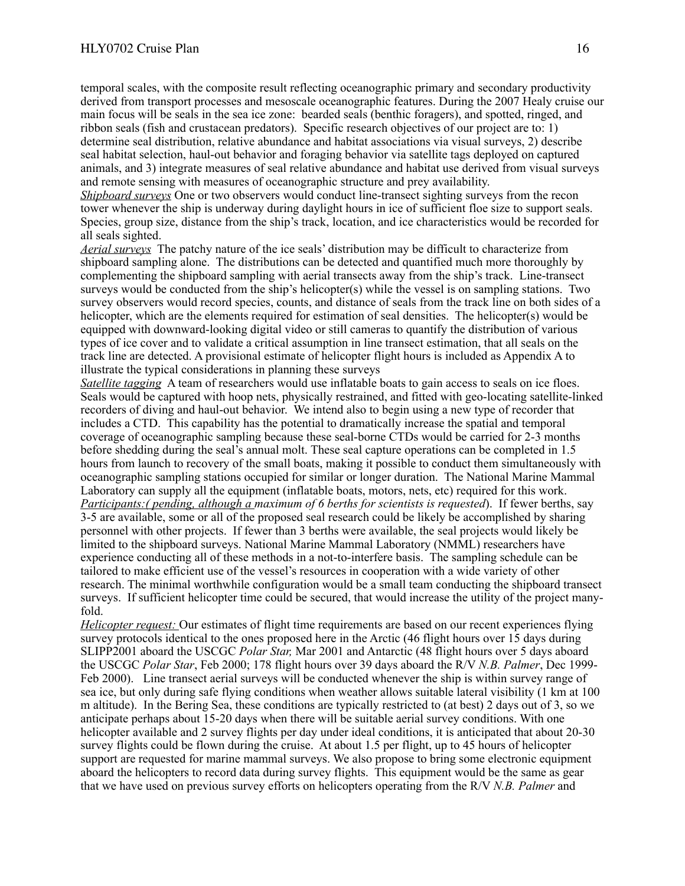temporal scales, with the composite result reflecting oceanographic primary and secondary productivity derived from transport processes and mesoscale oceanographic features. During the 2007 Healy cruise our main focus will be seals in the sea ice zone: bearded seals (benthic foragers), and spotted, ringed, and ribbon seals (fish and crustacean predators). Specific research objectives of our project are to: 1) determine seal distribution, relative abundance and habitat associations via visual surveys, 2) describe seal habitat selection, haul-out behavior and foraging behavior via satellite tags deployed on captured animals, and 3) integrate measures of seal relative abundance and habitat use derived from visual surveys and remote sensing with measures of oceanographic structure and prey availability.

*Shipboard surveys* One or two observers would conduct line-transect sighting surveys from the recon tower whenever the ship is underway during daylight hours in ice of sufficient floe size to support seals. Species, group size, distance from the ship's track, location, and ice characteristics would be recorded for all seals sighted.

*Aerial surveys* The patchy nature of the ice seals' distribution may be difficult to characterize from shipboard sampling alone. The distributions can be detected and quantified much more thoroughly by complementing the shipboard sampling with aerial transects away from the ship's track. Line-transect surveys would be conducted from the ship's helicopter(s) while the vessel is on sampling stations. Two survey observers would record species, counts, and distance of seals from the track line on both sides of a helicopter, which are the elements required for estimation of seal densities. The helicopter(s) would be equipped with downward-looking digital video or still cameras to quantify the distribution of various types of ice cover and to validate a critical assumption in line transect estimation, that all seals on the track line are detected. A provisional estimate of helicopter flight hours is included as Appendix A to illustrate the typical considerations in planning these surveys

*Satellite tagging* A team of researchers would use inflatable boats to gain access to seals on ice floes. Seals would be captured with hoop nets, physically restrained, and fitted with geo-locating satellite-linked recorders of diving and haul-out behavior. We intend also to begin using a new type of recorder that includes a CTD. This capability has the potential to dramatically increase the spatial and temporal coverage of oceanographic sampling because these seal-borne CTDs would be carried for 2-3 months before shedding during the seal's annual molt. These seal capture operations can be completed in 1.5 hours from launch to recovery of the small boats, making it possible to conduct them simultaneously with oceanographic sampling stations occupied for similar or longer duration. The National Marine Mammal Laboratory can supply all the equipment (inflatable boats, motors, nets, etc) required for this work. *Participants:( pending, although a maximum of 6 berths for scientists is requested*). If fewer berths, say 3-5 are available, some or all of the proposed seal research could be likely be accomplished by sharing personnel with other projects. If fewer than 3 berths were available, the seal projects would likely be limited to the shipboard surveys. National Marine Mammal Laboratory (NMML) researchers have experience conducting all of these methods in a not-to-interfere basis. The sampling schedule can be tailored to make efficient use of the vessel's resources in cooperation with a wide variety of other research. The minimal worthwhile configuration would be a small team conducting the shipboard transect surveys. If sufficient helicopter time could be secured, that would increase the utility of the project manyfold.

*Helicopter request:* Our estimates of flight time requirements are based on our recent experiences flying survey protocols identical to the ones proposed here in the Arctic (46 flight hours over 15 days during SLIPP2001 aboard the USCGC *Polar Star,* Mar 2001 and Antarctic (48 flight hours over 5 days aboard the USCGC *Polar Star*, Feb 2000; 178 flight hours over 39 days aboard the R/V *N.B. Palmer*, Dec 1999- Feb 2000). Line transect aerial surveys will be conducted whenever the ship is within survey range of sea ice, but only during safe flying conditions when weather allows suitable lateral visibility (1 km at 100 m altitude). In the Bering Sea, these conditions are typically restricted to (at best) 2 days out of 3, so we anticipate perhaps about 15-20 days when there will be suitable aerial survey conditions. With one helicopter available and 2 survey flights per day under ideal conditions, it is anticipated that about 20-30 survey flights could be flown during the cruise. At about 1.5 per flight, up to 45 hours of helicopter support are requested for marine mammal surveys. We also propose to bring some electronic equipment aboard the helicopters to record data during survey flights. This equipment would be the same as gear that we have used on previous survey efforts on helicopters operating from the R/V *N.B. Palmer* and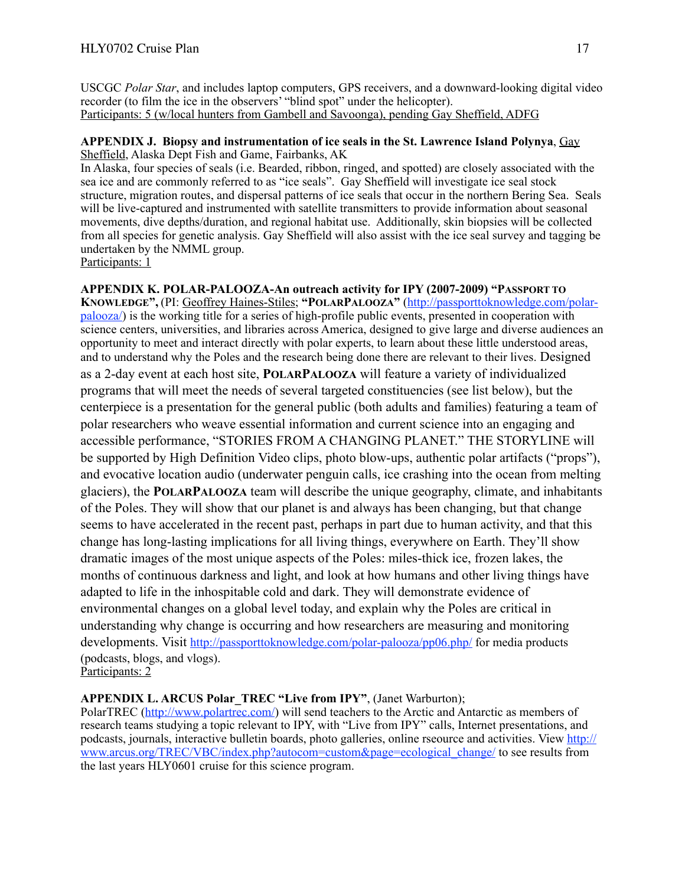USCGC *Polar Star*, and includes laptop computers, GPS receivers, and a downward-looking digital video recorder (to film the ice in the observers' "blind spot" under the helicopter). Participants: 5 (w/local hunters from Gambell and Savoonga), pending Gay Sheffield, ADFG

### **APPENDIX J. Biopsy and instrumentation of ice seals in the St. Lawrence Island Polynya**, Gay Sheffield, Alaska Dept Fish and Game, Fairbanks, AK

In Alaska, four species of seals (i.e. Bearded, ribbon, ringed, and spotted) are closely associated with the sea ice and are commonly referred to as "ice seals". Gay Sheffield will investigate ice seal stock structure, migration routes, and dispersal patterns of ice seals that occur in the northern Bering Sea. Seals will be live-captured and instrumented with satellite transmitters to provide information about seasonal movements, dive depths/duration, and regional habitat use. Additionally, skin biopsies will be collected from all species for genetic analysis. Gay Sheffield will also assist with the ice seal survey and tagging be undertaken by the NMML group.

Participants: 1

# **APPENDIX K. POLAR-PALOOZA-An outreach activity for IPY (2007-2009) "PASSPORT TO KNOWLEDGE",** (PI: Geoffrey Haines-Stiles; **"POLARPALOOZA"** [\(http://passporttoknowledge.com/polar](http://passporttoknowledge.com/polar-palooza/)[palooza/](http://passporttoknowledge.com/polar-palooza/)) is the working title for a series of high-profile public events, presented in cooperation with science centers, universities, and libraries across America, designed to give large and diverse audiences an opportunity to meet and interact directly with polar experts, to learn about these little understood areas, and to understand why the Poles and the research being done there are relevant to their lives. Designed as a 2-day event at each host site, **POLARPALOOZA** will feature a variety of individualized programs that will meet the needs of several targeted constituencies (see list below), but the

centerpiece is a presentation for the general public (both adults and families) featuring a team of polar researchers who weave essential information and current science into an engaging and accessible performance, "STORIES FROM A CHANGING PLANET." THE STORYLINE will be supported by High Definition Video clips, photo blow-ups, authentic polar artifacts ("props"), and evocative location audio (underwater penguin calls, ice crashing into the ocean from melting glaciers), the **POLARPALOOZA** team will describe the unique geography, climate, and inhabitants of the Poles. They will show that our planet is and always has been changing, but that change seems to have accelerated in the recent past, perhaps in part due to human activity, and that this change has long-lasting implications for all living things, everywhere on Earth. They'll show dramatic images of the most unique aspects of the Poles: miles-thick ice, frozen lakes, the months of continuous darkness and light, and look at how humans and other living things have adapted to life in the inhospitable cold and dark. They will demonstrate evidence of environmental changes on a global level today, and explain why the Poles are critical in understanding why change is occurring and how researchers are measuring and monitoring developments. Visit<http://passporttoknowledge.com/polar-palooza/pp06.php/> for media products (podcasts, blogs, and vlogs).

Participants: 2

# **APPENDIX L. ARCUS Polar\_TREC "Live from IPY"**, (Janet Warburton);

PolarTREC ([http://www.polartrec.com/\)](http://www.polartrec.com/) will send teachers to the Arctic and Antarctic as members of research teams studying a topic relevant to IPY, with "Live from IPY" calls, Internet presentations, and podcasts, journals, interactive bulletin boards, photo galleries, online rseource and activities. View [http://](http://www.arcus.org/TREC/VBC/index.php?autocom=custom&page=ecological_change/) [www.arcus.org/TREC/VBC/index.php?autocom=custom&page=ecological\\_change/](http://www.arcus.org/TREC/VBC/index.php?autocom=custom&page=ecological_change/) to see results from the last years HLY0601 cruise for this science program.